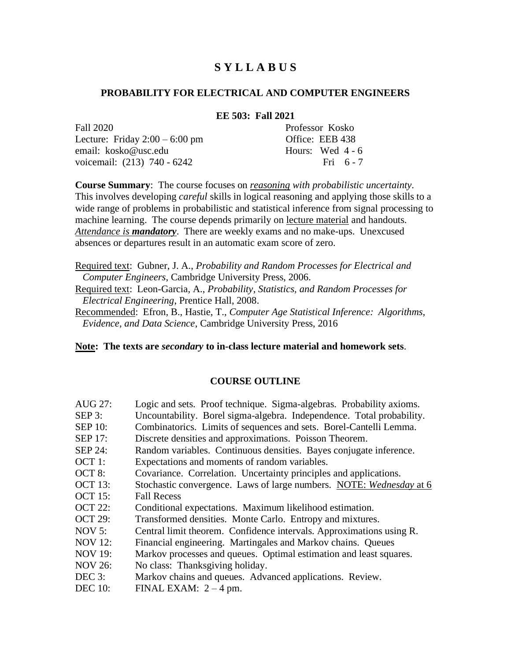# **S Y L L A B U S**

### **PROBABILITY FOR ELECTRICAL AND COMPUTER ENGINEERS**

#### **EE 503: Fall 2021**

Fall 2020 Professor Kosko Lecture: Friday  $2:00 - 6:00$  pm Office: EEB 438 email: kosko@usc.edu Hours: Wed 4 - 6 voicemail: (213) 740 - 6242 Fri 6 - 7

**Course Summary**: The course focuses on *reasoning with probabilistic uncertainty*. This involves developing *careful* skills in logical reasoning and applying those skills to a wide range of problems in probabilistic and statistical inference from signal processing to machine learning. The course depends primarily on lecture material and handouts. *Attendance is mandatory*. There are weekly exams and no make-ups. Unexcused absences or departures result in an automatic exam score of zero.

Required text: Gubner, J. A., *Probability and Random Processes for Electrical and Computer Engineers*, Cambridge University Press, 2006.

Required text: Leon-Garcia, A., *Probability, Statistics, and Random Processes for Electrical Engineering*, Prentice Hall, 2008.

Recommended: Efron, B., Hastie, T., *Computer Age Statistical Inference: Algorithms, Evidence, and Data Science*, Cambridge University Press, 2016

**Note: The texts are** *secondary* **to in-class lecture material and homework sets**.

#### **COURSE OUTLINE**

- AUG 27: Logic and sets. Proof technique. Sigma-algebras. Probability axioms. SEP 3: Uncountability. Borel sigma-algebra. Independence. Total probability. SEP 10: Combinatorics. Limits of sequences and sets. Borel-Cantelli Lemma. SEP 17: Discrete densities and approximations. Poisson Theorem. SEP 24: Random variables. Continuous densities. Bayes conjugate inference. OCT 1: Expectations and moments of random variables. OCT 8: Covariance. Correlation. Uncertainty principles and applications. OCT 13: Stochastic convergence. Laws of large numbers. NOTE: *Wednesday* at 6 OCT 15: Fall Recess OCT 22: Conditional expectations. Maximum likelihood estimation. OCT 29: Transformed densities. Monte Carlo. Entropy and mixtures. NOV 5: Central limit theorem. Confidence intervals. Approximations using R. NOV 12: Financial engineering. Martingales and Markov chains. Queues NOV 19: Markov processes and queues. Optimal estimation and least squares. NOV 26: No class: Thanksgiving holiday. DEC 3: Markov chains and queues. Advanced applications. Review.
- DEC 10: FINAL EXAM:  $2 4$  pm.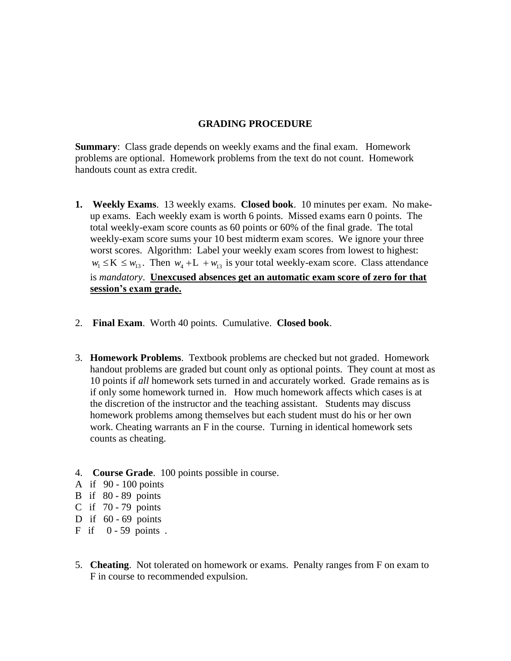### **GRADING PROCEDURE**

**Summary:** Class grade depends on weekly exams and the final exam. Homework problems are optional. Homework problems from the text do not count. Homework handouts count as extra credit.

- **1. Weekly Exams**. 13 weekly exams. **Closed book**. 10 minutes per exam. No makeup exams. Each weekly exam is worth 6 points. Missed exams earn 0 points. The total weekly-exam score counts as 60 points or 60% of the final grade. The total weekly-exam score sums your 10 best midterm exam scores. We ignore your three worst scores. Algorithm: Label your weekly exam scores from lowest to highest:  $w_1 \leq K \leq w_{13}$ . Then  $w_4 + L + w_{13}$  is your total weekly-exam score. Class attendance is *mandatory*. **Unexcused absences get an automatic exam score of zero for that session's exam grade.**
- 2. **Final Exam**. Worth 40 points. Cumulative. **Closed book**.
- 3. **Homework Problems**. Textbook problems are checked but not graded. Homework handout problems are graded but count only as optional points. They count at most as 10 points if *all* homework sets turned in and accurately worked. Grade remains as is if only some homework turned in. How much homework affects which cases is at the discretion of the instructor and the teaching assistant. Students may discuss homework problems among themselves but each student must do his or her own work. Cheating warrants an F in the course. Turning in identical homework sets counts as cheating.
- 4. **Course Grade**. 100 points possible in course.
- A if 90 100 points
- B if 80 89 points
- C if 70 79 points
- D if  $60 69$  points
- $F$  if  $0 59$  points.
- 5. **Cheating**. Not tolerated on homework or exams. Penalty ranges from F on exam to F in course to recommended expulsion.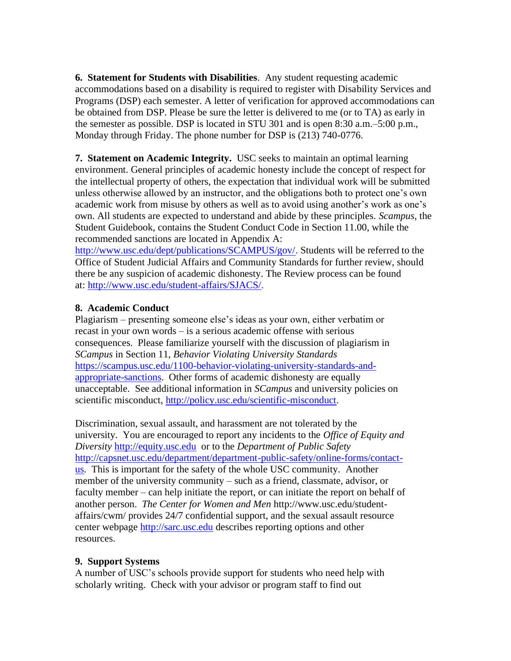**6. Statement for Students with Disabilities**. Any student requesting academic accommodations based on a disability is required to register with Disability Services and Programs (DSP) each semester. A letter of verification for approved accommodations can be obtained from DSP. Please be sure the letter is delivered to me (or to TA) as early in the semester as possible. DSP is located in STU 301 and is open 8:30 a.m.–5:00 p.m., Monday through Friday. The phone number for DSP is (213) 740-0776.

**7. Statement on Academic Integrity.** USC seeks to maintain an optimal learning environment. General principles of academic honesty include the concept of respect for the intellectual property of others, the expectation that individual work will be submitted unless otherwise allowed by an instructor, and the obligations both to protect one's own academic work from misuse by others as well as to avoid using another's work as one's own. All students are expected to understand and abide by these principles. *Scampus,* the Student Guidebook, contains the Student Conduct Code in Section 11.00, while the recommended sanctions are located in Appendix A:

[http://www.usc.edu/dept/publications/SCAMPUS/gov/.](http://www.usc.edu/dept/publications/SCAMPUS/gov/) Students will be referred to the Office of Student Judicial Affairs and Community Standards for further review, should there be any suspicion of academic dishonesty. The Review process can be found at: [http://www.usc.edu/student-affairs/SJACS/.](http://www.usc.edu/student-affairs/SJACS/)

# **8. Academic Conduct**

Plagiarism – presenting someone else's ideas as your own, either verbatim or recast in your own words – is a serious academic offense with serious consequences. Please familiarize yourself with the discussion of plagiarism in *SCampus* in Section 11, *Behavior Violating University Standards*  [https://scampus.usc.edu/1100-behavior-violating-university-standards-and](https://scampus.usc.edu/1100-behavior-violating-university-standards-and-appropriate-sanctions/)[appropriate-sanctions.](https://scampus.usc.edu/1100-behavior-violating-university-standards-and-appropriate-sanctions/) Other forms of academic dishonesty are equally unacceptable. See additional information in *SCampus* and university policies on scientific misconduct, [http://policy.usc.edu/scientific-misconduct.](http://policy.usc.edu/scientific-misconduct/)

Discrimination, sexual assault, and harassment are not tolerated by the university. You are encouraged to report any incidents to the *Office of Equity and Diversity* [http://equity.usc.edu](http://equity.usc.edu/) or to the *Department of Public Safety* [http://capsnet.usc.edu/department/department-public-safety/online-forms/contact](http://capsnet.usc.edu/department/department-public-safety/online-forms/contact-us)[us.](http://capsnet.usc.edu/department/department-public-safety/online-forms/contact-us) This is important for the safety of the whole USC community. Another member of the university community – such as a friend, classmate, advisor, or faculty member – can help initiate the report, or can initiate the report on behalf of another person. *The Center for Women and Men* http://www.usc.edu/studentaffairs/cwm/ provides 24/7 confidential support, and the sexual assault resource center webpage [http://sarc.usc.edu](http://sarc.usc.edu/) describes reporting options and other resources.

# **9. Support Systems**

A number of USC's schools provide support for students who need help with scholarly writing. Check with your advisor or program staff to find out